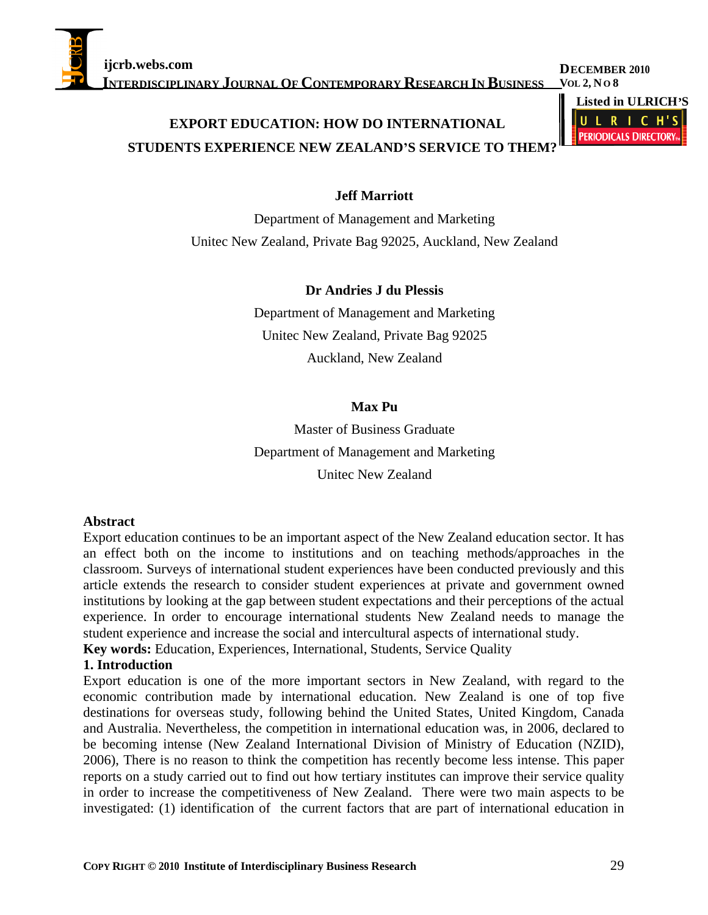**ijcrb.webs.com DECEMBER 2010 INTERDISCIPLINARY JOURNAL OF CONTEMPORARY RESEARCH IN BUSINESS**

**EXPORT EDUCATION: HOW DO INTERNATIONAL PRODUCALS DIRECTORY STUDENTS EXPERIENCE NEW ZEALAND S SERVICE TO THEM?**

# **Jeff Marriott**

Department of Management and Marketing Unitec New Zealand, Private Bag 92025, Auckland, New Zealand

# **Dr Andries J du Plessis**

Department of Management and Marketing Unitec New Zealand, Private Bag 92025 Auckland, New Zealand

# **Max Pu**

Master of Business Graduate Department of Management and Marketing Unitec New Zealand

# **Abstract**

Export education continues to be an important aspect of the New Zealand education sector. It has an effect both on the income to institutions and on teaching methods/approaches in the classroom. Surveys of international student experiences have been conducted previously and this article extends the research to consider student experiences at private and government owned institutions by looking at the gap between student expectations and their perceptions of the actual experience. In order to encourage international students New Zealand needs to manage the student experience and increase the social and intercultural aspects of international study.

**Key words:** Education, Experiences, International, Students, Service Quality

# **1. Introduction**

Export education is one of the more important sectors in New Zealand, with regard to the economic contribution made by international education. New Zealand is one of top five destinations for overseas study, following behind the United States, United Kingdom, Canada and Australia. Nevertheless, the competition in international education was, in 2006, declared to be becoming intense (New Zealand International Division of Ministry of Education (NZID), 2006), There is no reason to think the competition has recently become less intense. This paper reports on a study carried out to find out how tertiary institutes can improve their service quality in order to increase the competitiveness of New Zealand. There were two main aspects to be investigated: (1) identification of the current factors that are part of international education in

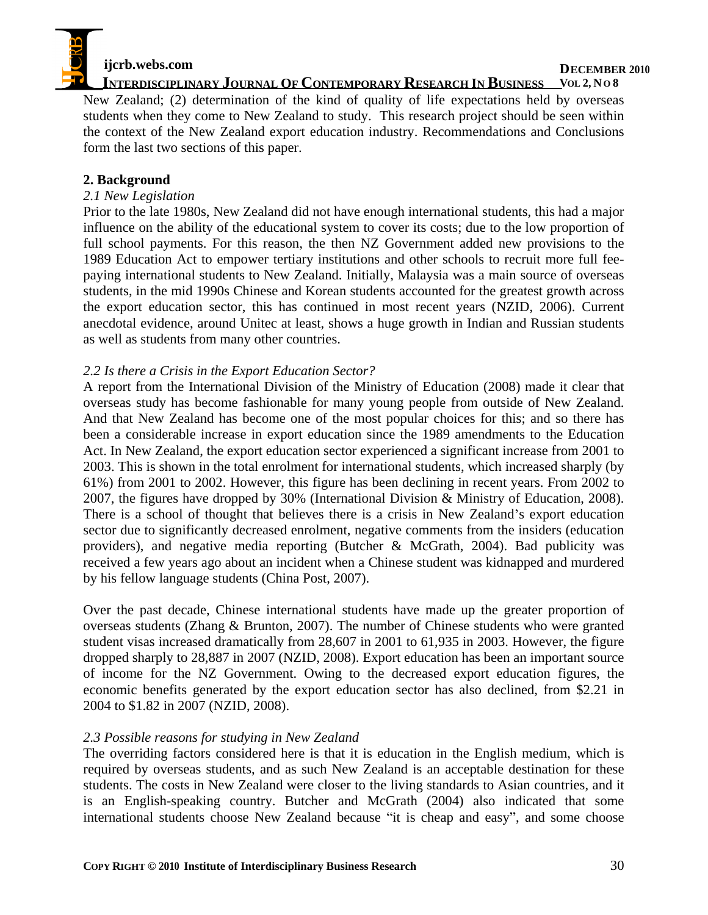

**INTERDISCIPLINARY JOURNAL OF CONTEMPORARY RESEARCH IN BUSINESS VOL 2, N O 8**

New Zealand; (2) determination of the kind of quality of life expectations held by overseas students when they come to New Zealand to study. This research project should be seen within the context of the New Zealand export education industry. Recommendations and Conclusions form the last two sections of this paper.

## **2. Background**

#### *2.1 New Legislation*

Prior to the late 1980s, New Zealand did not have enough international students, this had a major influence on the ability of the educational system to cover its costs; due to the low proportion of full school payments. For this reason, the then NZ Government added new provisions to the 1989 Education Act to empower tertiary institutions and other schools to recruit more full fee paying international students to New Zealand. Initially, Malaysia was a main source of overseas students, in the mid 1990s Chinese and Korean students accounted for the greatest growth across the export education sector, this has continued in most recent years (NZID, 2006). Current anecdotal evidence, around Unitec at least, shows a huge growth in Indian and Russian students as well as students from many other countries.

## *2.2 Is there a Crisis in the Export Education Sector?*

A report from the International Division of the Ministry of Education (2008) made it clear that overseas study has become fashionable for many young people from outside of New Zealand. And that New Zealand has become one of the most popular choicesfor this; and so there has been a considerable increase in export education since the 1989 amendments to the Education Act. In New Zealand, the export education sector experienced a significant increase from 2001 to 2003. This is shown in the total enrolment for international students, which increased sharply (by 61%) from 2001 to 2002. However, this figure has been declining in recent years. From 2002 to 2007, the figures have dropped by 30% (International Division & Ministry of Education, 2008). There is a school of thought that believes there is a crisis in New Zealand's export education sector due to significantly decreased enrolment, negative comments from the insiders (education providers), and negative media reporting (Butcher & McGrath, 2004). Bad publicity was received a few years ago about an incident when a Chinese student waskidnapped and murdered by his fellow language students (China Post, 2007).

Over the past decade, Chinese international students have made up the greater proportion of overseas students (Zhang & Brunton, 2007). The number of Chinese students who were granted student visas increased dramatically from 28,607 in 2001 to 61,935 in 2003. However, the figure dropped sharply to 28,887 in 2007 (NZID, 2008). Export education has been an important source of income for the NZ Government. Owing to the decreased export education figures, the economic benefits generated by the export education sector has also declined, from \$2.21 in 2004 to \$1.82 in 2007 (NZID, 2008).

## *2.3 Possible reasons for studying in New Zealand*

The overriding factors considered here is that it is education in the English medium, which is required by overseas students, and as such New Zealand is an acceptable destination for these students. The costs in New Zealand were closer to the living standards to Asian countries, and it is an English-speaking country. Butcher and McGrath (2004) also indicated that some international students choose New Zealand because "it is cheap and easy", and some choose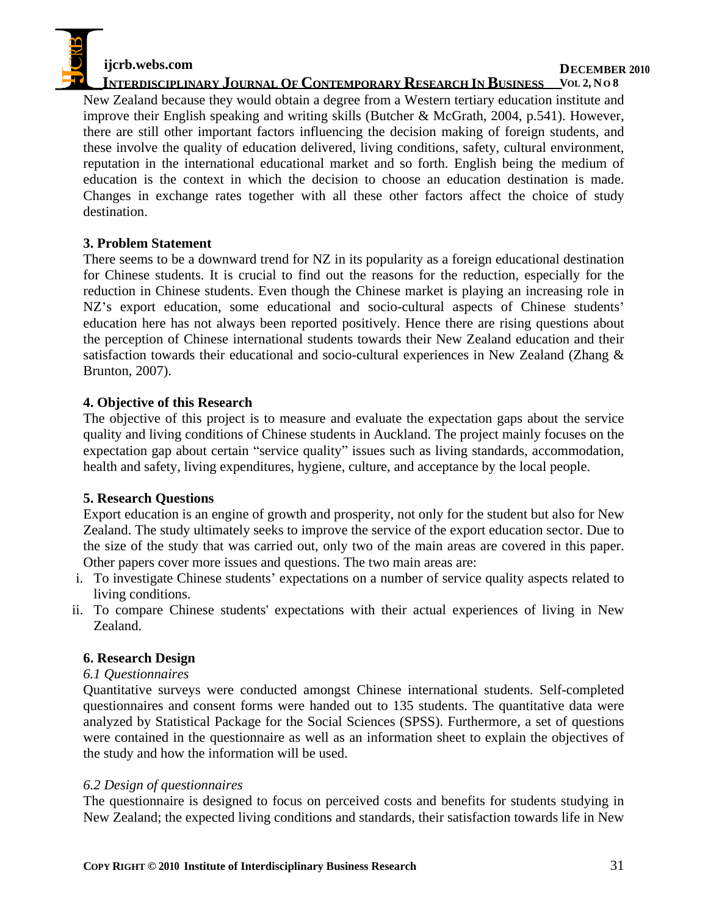

**INTERDISCIPLINARY JOURNAL OF CONTEMPORARY RESEARCH IN BUSINESS VOL 2, N O 8**

New Zealand because they would obtain a degree from a Western tertiary education institute and improve their English speaking and writing skills (Butcher & McGrath, 2004, p.541). However, there are still other important factors influencing the decision making of foreign students, and these involve the quality of education delivered, living conditions, safety, cultural environment, reputation in the international educational market and so forth. English being the medium of education is the context in which the decision to choose an education destination is made. Changes in exchange rates together with all these other factors affect the choice of study destination.

## **3. Problem Statement**

There seems to be a downward trend for NZ in its popularity as a foreign educational destination for Chinese students. It is crucial to find out the reasons for the reduction, especially for the reduction in Chinese students. Even though the Chinese market is playing an increasing role in NZ's export education, some educational and socio-cultural aspects of Chinese students' education here has not always been reported positively. Hence there are rising questions about the perception of Chinese international students towards their New Zealand education and their satisfaction towards their educational and socio-cultural experiences in New Zealand (Zhang & Brunton, 2007).

## **4. Objective of this Research**

The objective of this project is to measure and evaluate the expectation gaps about the service quality and living conditions of Chinese students in Auckland. The project mainly focuses on the expectation gap about certain "service quality" issues such as living standards, accommodation, health and safety, living expenditures, hygiene, culture, and acceptance by the local people.

## **5. Research Questions**

Export education is an engine of growth and prosperity, not only for the student but also for New Zealand. The study ultimately seeks to improve the service of the export education sector. Due to the size of the study that was carried out, only two of the main areas are covered in this paper. Other papers cover more issues and questions. The two main areas are:

- i. To investigate Chinese students' expectations on a number of service quality aspects related to living conditions.
- ii. To compare Chinese students' expectations with their actual experiences of living in New zealand. The contract of the contract of the contract of the contract of the contract of the contract of the contract of the contract of the contract of the contract of the contract of the contract of the contract of the c

# **6. Research Design**

# *6.1 Questionnaires*

Quantitative surveys were conducted amongst Chinese international students. Self-completed questionnaires and consent forms were handed out to 135 students. The quantitative data were analyzed by Statistical Package for the Social Sciences (SPSS). Furthermore, a set of questions were contained in the questionnaire as well as an information sheet to explain the objectives of the study and how the information will be used.

## *6.2 Design of questionnaires*

The questionnaire is designed to focus on perceived costs and benefits for students studying in New Zealand; the expected living conditions and standards, their satisfaction towards life in New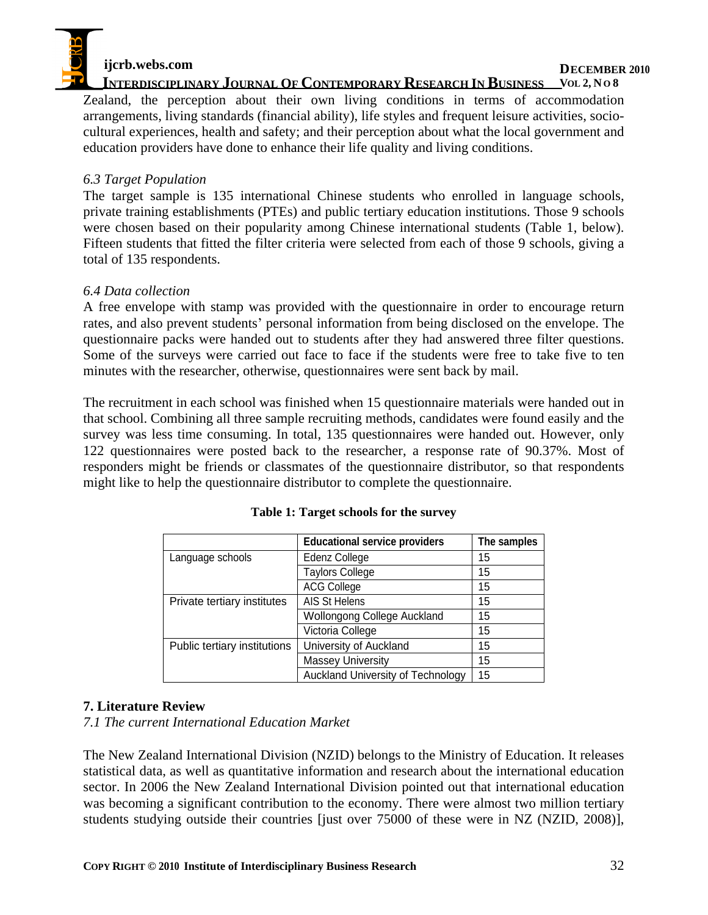

**INTERDISCIPLINARY JOURNAL OF CONTEMPORARY RESEARCH IN BUSINESS VOL 2, N O 8**

Zealand, the perception about their own living conditions in terms of accommodation arrangements, living standards (financial ability), life styles and frequent leisure activities, socio cultural experiences, health and safety; and their perception about what the local government and education providers have done to enhance their life quality and living conditions.

## *6.3 Target Population*

The target sample is 135 international Chinese students who enrolled in language schools, private training establishments (PTEs) and public tertiary education institutions. Those 9 schools were chosen based on their popularity among Chinese international students (Table 1, below). Fifteen students that fitted the filter criteria were selected from each of those 9 schools, giving a total of 135 respondents.

## *6.4 Data collection*

A free envelope with stamp was provided with the questionnairein order to encourage return rates, and also prevent students' personal information from being disclosed on the envelope. The questionnaire packs were handed out to students after they had answered three filter questions. Some of the surveys were carried out face to face if the students were free to take five to ten minutes with the researcher, otherwise, questionnaires were sent back by mail.

The recruitment in each school was finished when 15 questionnaire materials were handed out in that school. Combining all three sample recruiting methods, candidates were found easily and the survey was less time consuming. In total, 135 questionnaires were handed out. However, only 122 questionnaires were posted back to the researcher, a response rate of 90.37%. Most of responders might be friends or classmates of the questionnaire distributor, so that respondents might like to help the questionnaire distributor to complete the questionnaire.

|                                                       | <b>Educational service providers</b>   | The samples    |
|-------------------------------------------------------|----------------------------------------|----------------|
| Language schools                                      | Edenz College                          |                |
|                                                       | <b>Taylors College</b>                 |                |
|                                                       | <b>ACG College</b>                     |                |
| Private tertiary institutes   AIS St Helens           |                                        |                |
|                                                       | Wollongong College Auckland            |                |
|                                                       | Victoria College                       |                |
| Public tertiary institutions   University of Auckland |                                        |                |
|                                                       | <b>Massey University</b>               | $\overline{a}$ |
|                                                       | Auckland University of Technology   15 |                |

#### **Table 1: Target schools for the survey**

# **7. Literature Review**

*7.1 The current International Education Market* 

The New Zealand International Division (NZID) belongs to the Ministry of Education. It releases statistical data, as well as quantitative information and research about the international education sector. In 2006 the New Zealand International Division pointed out that international education was becoming a significant contribution to the economy. There were almost two million tertiary students studying outside their countries [just over 75000 of these were in NZ (NZID, 2008)],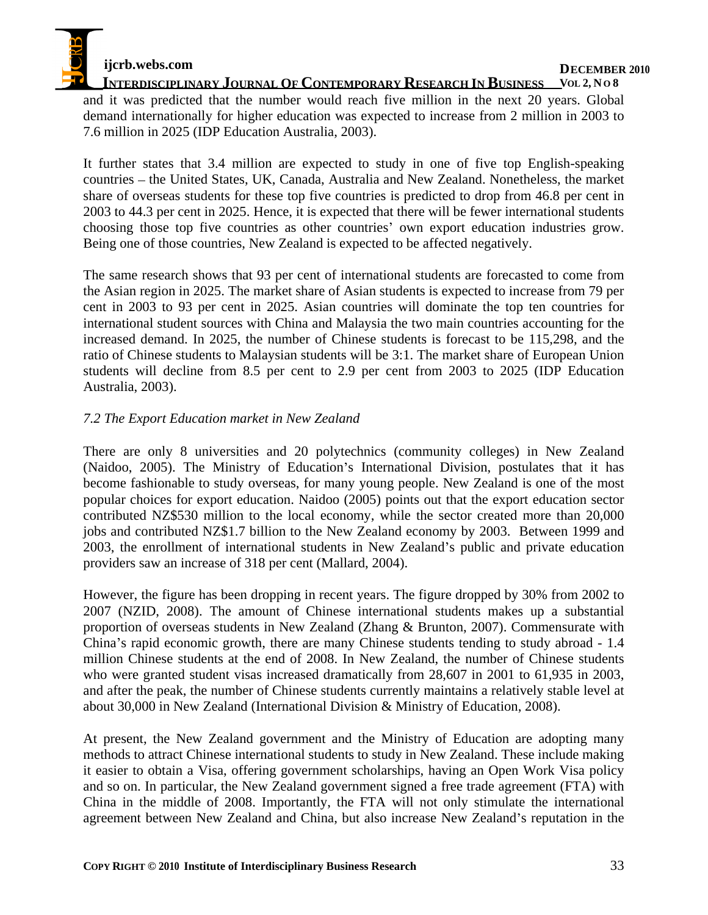**ijcrb.webs.com DECEMBER 2010** 

**INTERDISCIPLINARY JOURNAL OF CONTEMPORARY RESEARCH IN BUSINESS VOL 2, N O 8**

and it was predicted that the number would reach five million in the next 20 years. Global demand internationally for higher education was expected to increase from 2 million in 2003 to 7.6 million in 2025 (IDP Education Australia, 2003).

It further states that 3.4 million are expected to study in one of five top English-speaking countries – the United States, UK, Canada, Australia and New Zealand. Nonetheless, the market share of overseas students for these top five countries is predicted to drop from 46.8 per cent in 2003 to 44.3 per cent in 2025. Hence, it is expected that there will be fewer international students choosing those top five countries as other countries' own export education industries grow. Being one of those countries, New Zealand is expected to be affected negatively.

The same research shows that 93 per cent of international students are forecasted to come from the Asian region in 2025. The market share of Asian students is expected to increase from 79 per cent in 2003 to 93 per cent in 2025. Asian countries will dominate the top ten countries for international student sources with China and Malaysia the two main countries accounting for the increased demand. In 2025, the number of Chinese students is forecast to be 115,298, and the ratio of Chinese students to Malaysian students will be 3:1. The market share of European Union students will decline from 8.5 per cent to 2.9 per cent from 2003 to 2025 (IDP Education Australia, 2003).

## *7.2 The Export Education market in New Zealand*

There are only 8 universities and 20 polytechnics (community colleges) in New Zealand (Naidoo, 2005). The Ministry of Education's International Division, postulates that it has become fashionable to study overseas, for many young people. New Zealand is one of the most popular choices for export education. Naidoo (2005) points out that the export education sector contributed NZ\$530 million to the local economy, while the sector created more than 20,000 jobs and contributed NZ\$1.7 billion to the New Zealand economy by 2003. Between 1999 and 2003, the enrollment of international students in New Zealand's public and private education providers saw an increase of 318 per cent (Mallard, 2004).

However, the figure has been dropping in recent years. The figure dropped by 30% from 2002 to 2007 (NZID, 2008). The amount of Chinese international students makes up a substantial proportion of overseas students in New Zealand (Zhang & Brunton, 2007). Commensurate with China's rapid economic growth, there are many Chinese students tending to study abroad - 1.4 million Chinese students at the end of 2008. In New Zealand, the number of Chinese students who were granted student visas increased dramatically from 28,607 in 2001 to 61,935 in 2003, and after the peak, the number of Chinese students currently maintains a relatively stable level at about 30,000 in New Zealand (International Division & Ministry of Education, 2008).

At present, the New Zealand government and the Ministry of Education are adopting many methods to attract Chinese international students to study in New Zealand. These include making it easier to obtain a Visa, offering government scholarships, having an Open Work Visa policy and so on. In particular, the New Zealand government signed a free trade agreement (FTA) with China in the middle of 2008. Importantly, the FTA will not only stimulate the international agreement between New Zealand and China, but also increase New Zealand's reputation in the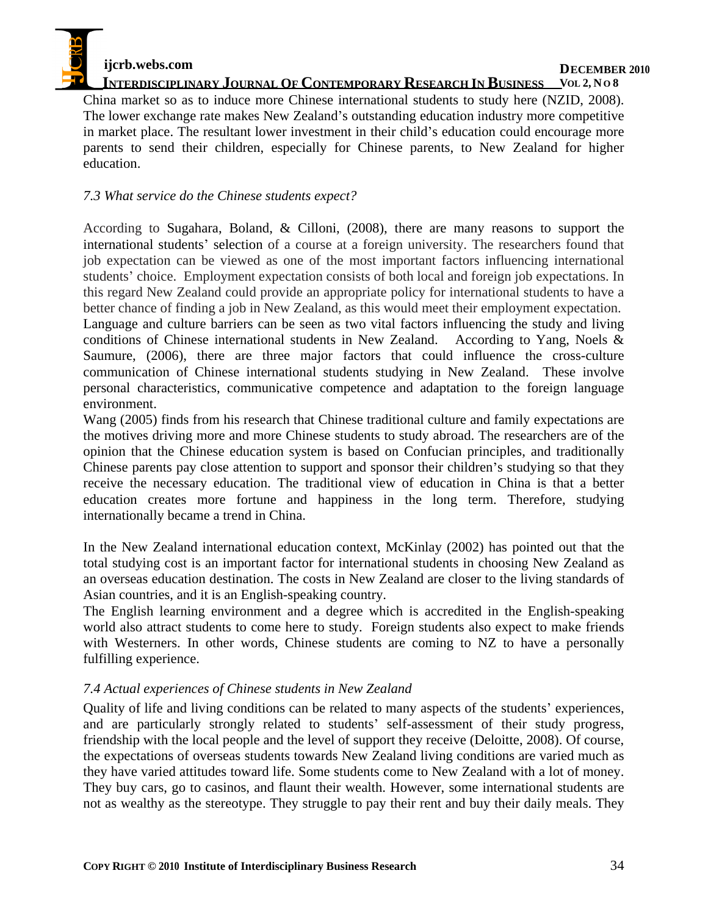

**INTERDISCIPLINARY JOURNAL OF CONTEMPORARY RESEARCH IN BUSINESS VOL 2, N O 8** China market so as to induce more Chinese international students to study here (NZID, 2008). The lower exchange rate makes New Zealand's outstanding education industry more competitive in market place. The resultant lower investment in their child's education could encourage more parents to send their children, especially for Chinese parents, to New Zealand for higher education.

# *7.3 What service do the Chinese students expect?*

According to Sugahara, Boland, & Cilloni, (2008), there are many reasons to support the international students' selection of a course at a foreign university. The researchers found that job expectation can be viewed as one of the most important factors influencing international students' choice. Employment expectation consists of both local and foreign job expectations. In this regard New Zealand could provide an appropriate policy for international students to have a better chance of finding a job in New Zealand, as this would meet their employment expectation. Language and culture barriers can be seen as two vital factors influencing the study and living conditions of Chinese international students in New Zealand. According to Yang, Noels  $\&$ Saumure, (2006), there are three major factors that could influence the cross-culture communication of Chinese international students studying in New Zealand. These involve personal characteristics, communicative competence and adaptation to the foreign language

environment. Wang (2005) finds from his research that Chinese traditional culture and family expectations are the motives driving more and more Chinese students to study abroad. The researchers are of the opinion that the Chinese education system is based on Confucian principles, and traditionally Chinese parents pay close attention to support and sponsor their children's studying so that they receive the necessary education. The traditional view of education in China is that a better education creates more fortune and happiness in the long term. Therefore, studying internationally became a trend in China.

In the New Zealand international education context, McKinlay (2002) has pointed out that the total studying cost is an important factor for international students in choosing New Zealand as an overseas education destination. The costs in New Zealand are closer to the living standards of Asian countries, and it is an English-speaking country.

The English learning environment and a degree which is accredited in the English-speaking world also attract students to come here to study. Foreign students also expect to make friends with Westerners. In other words, Chinese students are coming to NZ to have a personally fulfilling experience.

# *7.4 Actual experiences of Chinese students in New Zealand*

Quality of life and living conditions can be related to many aspects of the students' experiences, and are particularly strongly related to students' self-assessment of their study progress, friendship with the local people and the level of support they receive (Deloitte, 2008). Of course, the expectations of overseas students towards New Zealand living conditions are varied much as they have varied attitudes toward life. Some students come to New Zealand with a lot of money. They buy cars, go to casinos, and flaunt their wealth. However, some international students are not as wealthy as the stereotype. They struggle to pay their rentand buy their daily meals. They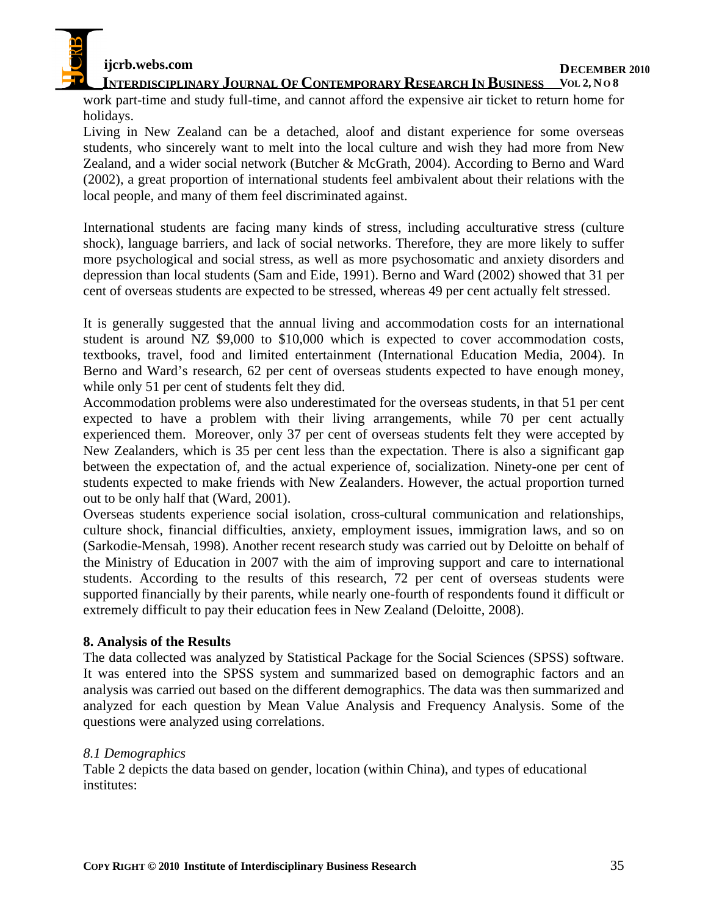

# **ijcrb.webs.com DECEMBER 2010**

**INTERDISCIPLINARY JOURNAL OF CONTEMPORARY RESEARCH IN BUSINESS VOL 2, N O 8**

work part-time and study full-time, and cannot afford the expensive air ticket to return home for holidays.

Living in New Zealand can be a detached, aloof and distant experience for some overseas students, who sincerely want to melt into the local culture and wish they had more from New Zealand, and a wider social network (Butcher & McGrath, 2004). According to Berno and Ward (2002), a great proportion of international students feel ambivalent about their relations with the local people, and many of them feel discriminated against.

International students are facing many kinds of stress, including acculturative stress (culture shock), language barriers, and lack of social networks. Therefore, they are more likely to suffer more psychological and social stress, as well as more psychosomatic and anxiety disorders and depression than local students (Sam and Eide, 1991). Berno and Ward (2002) showed that 31 per cent of overseas students are expected to be stressed, whereas 49 per cent actually felt stressed.

It is generally suggested that the annual living and accommodation costs for an international student is around NZ \$9,000 to \$10,000 which is expected to cover accommodation costs, textbooks, travel, food and limited entertainment (International Education Media, 2004). In Berno and Ward's research, 62 per cent of overseas students expected to have enough money, while only 51 per cent of students felt they did.

Accommodation problems were also underestimated for the overseas students, in that 51 per cent expected to have a problem with their living arrangements, while 70 per cent actually experienced them. Moreover, only 37 per cent of overseas students felt they were accepted by New Zealanders, which is 35 per cent less than the expectation. There is also a significant gap between the expectation of, and the actual experience of, socialization. Ninety-one per cent of students expected to make friends with New Zealanders. However, the actual proportion turned out to be only half that (Ward, 2001).

Overseas students experience social isolation, cross-cultural communication and relationships, culture shock, financial difficulties, anxiety, employment issues, immigration laws, and so on (Sarkodie-Mensah, 1998). Another recent research study was carried out by Deloitte on behalf of the Ministry of Education in 2007 with the aim of improving support and care to international students. According to the results of this research, 72 per cent of overseas students were supported financially by their parents, while nearly one-fourth of respondents found it difficult or extremely difficult to pay their education fees in New Zealand (Deloitte, 2008).

# **8. Analysis of the Results**

The data collected was analyzed by Statistical Package for the Social Sciences (SPSS) software. It was entered into the SPSS system and summarized based on demographic factors and an analysis was carried out based on the different demographics. The data was then summarized and analyzed for each question by Mean Value Analysis and Frequency Analysis. Some of the questions were analyzed using correlations.

## *8.1 Demographics*

Table 2 depicts the data based on gender, location (within China), and types of educational institutes: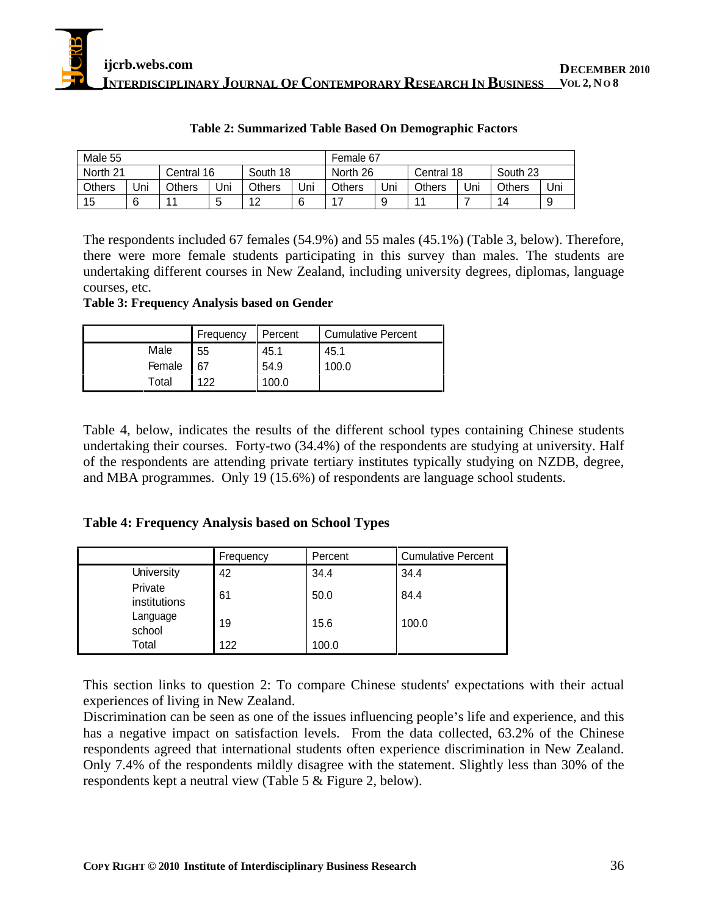| Male 55  |                                  |          | Female 67             |                                         |            |  |
|----------|----------------------------------|----------|-----------------------|-----------------------------------------|------------|--|
| North 21 | Central 16                       | South 18 | North 26              | Central 18                              | South 23   |  |
|          | Others Uni Others Uni Others Uni |          | Others Uni Others Uni |                                         | Others Uni |  |
|          |                                  | 1.12     | - 47                  | $\begin{array}{cc} & A & A \end{array}$ |            |  |

#### **Table 2: Summarized Table Based On Demographic Factors**

The respondents included 67 females (54.9%) and 55 males (45.1%) (Table 3, below). Therefore, there were more female students participating in this survey than males. The students are undertaking different courses in New Zealand, including university degrees, diplomas, language courses, etc.

#### **Table 3: Frequency Analysis based on Gender**

|        | Frequency      | Percen | Cumulative Percent       |
|--------|----------------|--------|--------------------------|
| Male   | $\frac{1}{5}$  | 45.1   | $\overline{\phantom{a}}$ |
|        |                |        | 40. L                    |
| Female | $\frac{1}{67}$ |        |                          |
|        |                | 54.9   | 100.0                    |
| Total  | $\vert$ 122    | 100.0  |                          |

Table 4, below, indicates the results of the different school types containing Chinese students undertaking their courses. Forty-two (34.4%) of the respondents are studying at university. Half of the respondents are attending private tertiary institutes typically studying on NZDB, degree, and MBA programmes. Only 19 (15.6%) of respondents are language school students.

## **Table 4: Frequency Analysis based on School Types**

|                             | Frequency | Percent | Cumulative Percent |
|-----------------------------|-----------|---------|--------------------|
| University                  | 42        | 34.4    | 34.4               |
| Private<br>institutions     | 61        | 50.0    | 84.4               |
| Language<br>school<br>Total | 19        | 15.6    | 100.0              |
|                             | 122       | 100.0   |                    |

This section links to question 2: To compare Chinese students' expectations with their actual experiences of living in New Zealand.

Discrimination can be seen as one of the issues influencing people's life and experience, and this has a negative impact on satisfaction levels. From the data collected, 63.2% of the Chinese respondents agreed that international students often experience discrimination in New Zealand. Only 7.4% of the respondents mildly disagree with the statement. Slightly less than 30% of the respondents kept a neutral view (Table 5 & Figure 2, below).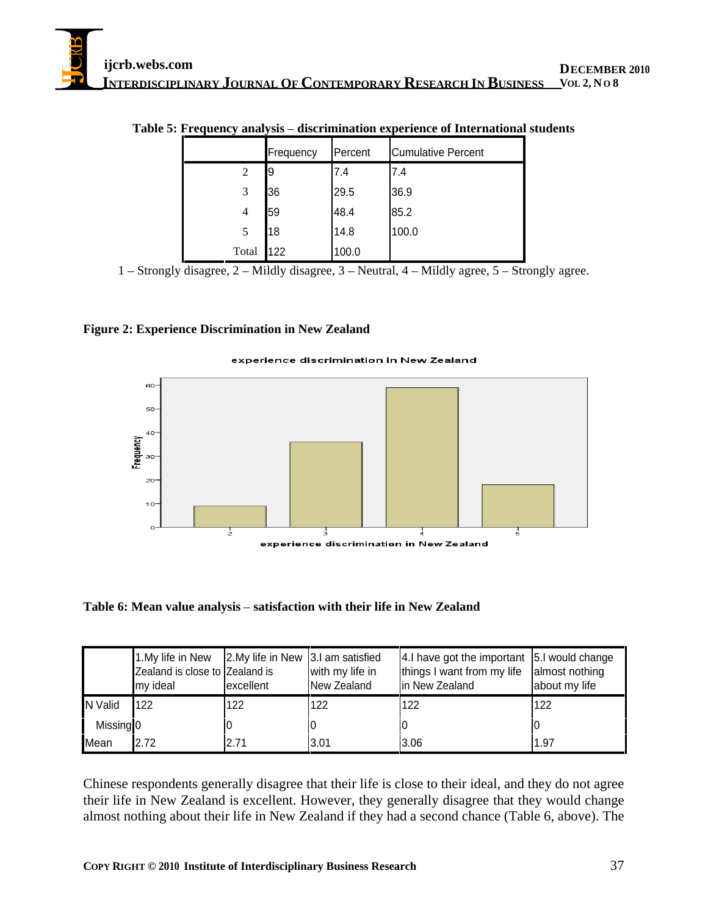|           | Frequency | Percent        | <b>Cumulative Percent</b> |
|-----------|-----------|----------------|---------------------------|
|           |           | $\cdot$ $\tau$ | 17.4                      |
|           | 36        | 29.5           | 36.9                      |
|           | 59        | 48.4           | 85.2                      |
|           | 18        | 14.8           | 100.0                     |
| Total 122 |           | 100.0          |                           |

#### Table 5: Frequency analysis – discrimination experience of International students

 $1 -$  Strongly disagree,  $2 -$  Mildly disagree,  $3 -$  Neutral,  $4 -$  Mildly agree,  $5 -$  Strongly agree.

#### **Figure 2: Experience Discrimination in New Zealand**



#### experience discrimination in New Zealand

#### Table 6: Mean value analysis - satisfaction with their life in New Zealand

Chinese respondents generally disagree that their life is close to their ideal, and they do not agree their life in New Zealand is excellent. However, they generally disagree that they would change almost nothing about their life in New Zealand if they had a second chance (Table 6, above). The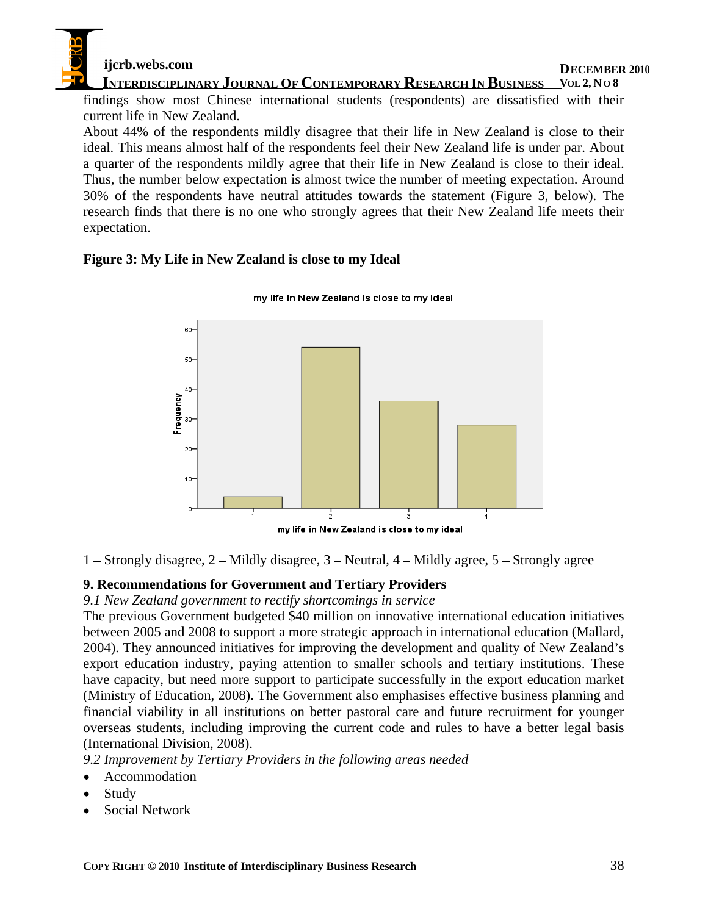

findings show most Chinese international students (respondents) are dissatisfied with their current life in New Zealand.

About 44% of the respondents mildly disagree that their life in New Zealand is close to their ideal. This means almost half of the respondents feel their New Zealand life is under par. About a quarter of the respondents mildly agree that their life in New Zealand is close to their ideal. Thus, the number below expectation is almost twice the number of meeting expectation. Around 30% of the respondents have neutral attitudes towards the statement (Figure 3, below). The research finds that there is no one who strongly agrees that their New Zealand life meets their expectation.

# **Figure 3: My Life in New Zealand is close to my Ideal**



my life in New Zealand is close to my ideal

1 – Strongly disagree, 2 – Mildly disagree, 3 – Neutral, 4 – Mildly agree, 5 – Strongly agree

# **9. Recommendations for Government and Tertiary Providers**

*9.1 New Zealand government to rectify shortcomings in service*

The previous Government budgeted \$40 million on innovative international education initiatives between 2005 and 2008 to support a more strategic approach in international education (Mallard, 2004). They announced initiatives for improving the development and quality of New Zealand's export education industry, paying attention to smaller schools and tertiary institutions. These have capacity, but need more support to participate successfully in the export education market (Ministry of Education, 2008). The Government also emphasises effective business planning and financial viability in all institutions on better pastoral care and future recruitment for younger overseas students, including improving the current code and rules to have a better legal basis (International Division, 2008).

*9.2 Improvement by Tertiary Providers in the following areas needed*

- Accommodation and the set of the set of the set of the set of the set of the set of the set of the set of the set of the set of the set of the set of the set of the set of the set of the set of the set of the set of the se  $\bullet$
- Study and the study of the study of the study of the study of the study of the study of the study of the study
- Social Network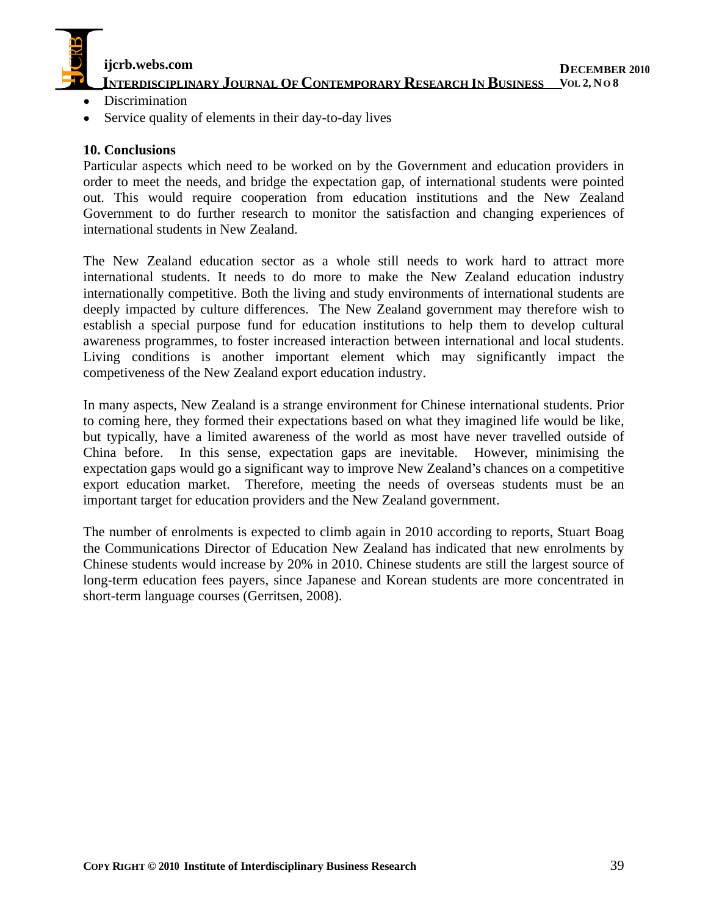

- **Discrimination**
- Service quality of elements in their day-to-day lives  $\bullet$

# **10. Conclusions**

Particular aspects which need to be worked on by the Government and education providers in order to meet the needs, and bridge the expectation gap, of international students were pointed out. This would require cooperation from education institutions and the New Zealand Government to do further research to monitor the satisfaction and changing experiences of international students in New Zealand.

The New Zealand education sector as a whole still needs to work hard to attract more international students. It needs to do more to make the New Zealand education industry internationally competitive. Both the living and study environments of international students are deeply impacted by culture differences. The New Zealand government may therefore wish to establish a special purpose fund for education institutions to help them to develop cultural awareness programmes, to foster increased interaction between international and local students. Living conditions is another important element which may significantly impact the competiveness of the New Zealand export education industry.

In many aspects, New Zealand is a strange environment for Chinese international students. Prior to coming here, they formed their expectations based on what they imagined life would be like, but typically, have a limited awareness of the world as most have never travelled outside of China before. In this sense, expectation gaps are inevitable. However, minimising the expectation gaps would go a significant way to improve New Zealand's chances on a competitive export education market. Therefore, meeting the needs of overseas students must be an important target for education providers and the New Zealand government.

The number of enrolments is expected to climb again in 2010 according to reports, Stuart Boag the Communications Director of Education New Zealand has indicated that new enrolments by Chinese students would increase by 20% in 2010. Chinese students are still the largest source of long-term education fees payers, since Japanese and Korean students are more concentrated in short-term language courses (Gerritsen, 2008).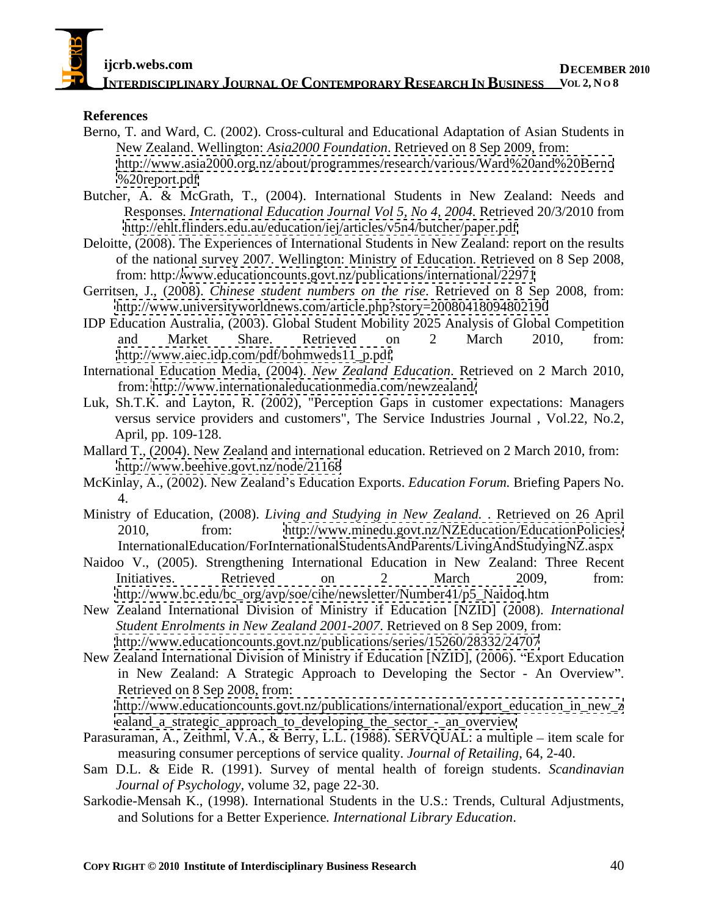## **References**

- Berno, T. and Ward, C. (2002). Cross-cultural and Educational Adaptation of Asian Students in New Zealand. Wellington: *Asia2000 Foundation*. Retrieved on 8 Sep 2009, from: <http://www.asia2000.org.nz/about/programmes/research/various/Ward%20and%20Berno> <%20report.pdf>
- Butcher, A. & McGrath, T., (2004). International Students in New Zealand: Needs and Responses. *International Education Journal Vol 5, No 4, 2004.* Retrieved 20/3/2010 from <http://ehlt.flinders.edu.au/education/iej/articles/v5n4/butcher/paper.pdf>
- Deloitte, (2008). The Experiences of International Students in New Zealand: report on the results of the national survey 2007. Wellington: Ministry of Education. Retrieved on 8 Sep 2008, from: http:/[/www.educationcounts.govt.nz/publications/international/22971](http://www.educationcounts.govt.nz/publications/international/22971)
- Gerritsen, J., (2008). *Chinese student numbers on the rise*. Retrieved on 8 Sep 2008, from: <http://www.universityworldnews.com/article.php?story=20080418094802190>
- IDP Education Australia, (2003). Global Student Mobility 2025 Analysis of Global Competition and Market Share. Retrieved on 2 March 2010, from: [http://www.aiec.idp.com/pdf/bohmweds11\\_p.pdf](http://www.aiec.idp.com/pdf/bohmweds11)
- International Education Media, (2004). *New Zealand Education*. Retrieved on <sup>2</sup> March 2010, from: http://www.internationaleducationmedia.com/newzealand/
- Luk, Sh.T.K. and Layton, R. (2002), "Perception Gaps in customer expectations: Managers versus service providers and customers", The Service Industries Journal , Vol.22, No.2, April, pp. 109-128.
- Mallard T., (2004). New Zealand and international education. Retrieved on 2 March 2010, from: <http://www.beehive.govt.nz/node/21168>
- McKinlay, A., (2002). New Zealand's Education Exports. *Education Forum*. Briefing Papers No. 4.
- Ministry of Education, (2008). *Living and Studying in New Zealand.* . Retrieved on 26 April 2010, from: <http://www.minedu.govt.nz/NZEducation/EducationPolicies/> InternationalEducation/ForInternationalStudentsAndParents/LivingAndStudyingNZ.aspx
- Naidoo V., (2005). Strengthening International Education in New Zealand: Three Recent Initiatives. Retrieved on 2 March 2009, from: [http://www.bc.edu/bc\\_org/avp/soe/cihe/newsletter/Number41/p5\\_Naidoo](http://www.bc.edu/bc_org/avp/soe/cihe/newsletter/Number41/p5_Naidoo).htm
- New Zealand International Division of Ministry if Education [NZID] (2008). *International Student Enrolments in New Zealand 2001-2007*. Retrieved on 8 Sep 2009, from: <http://www.educationcounts.govt.nz/publications/series/15260/28332/24707>
- New Zealand International Division of Ministry if Education [NZID], (2006). "Export Education in New Zealand: A Strategic Approach to Developing the Sector - An Overview". Retrieved on 8 Sep 2008, from: [http://www.educationcounts.govt.nz/publications/international/export\\_education\\_in\\_new\\_z](http://www.educationcounts.govt.nz/publications/international/export_education_in_new_z)
- ealand a strategic approach to developing the sector an overview Parasuraman, A., Zeithml, V.A., & Berry, L.L. (1988). SERVQUAL: a multiple – item scale for
- measuring consumer perceptions of service quality. *Journal of Retailing*, 64, 2-40. Sam D.L. & Eide R. (1991). Survey of mental health of foreign students. *Scandinavian Journal of Psychology,* volume 32, page 22-30.
- Sarkodie-Mensah K., (1998). International Students in the U.S.: Trends, Cultural Adjustments, and Solutions for a Better Experience*. International Library Education*.